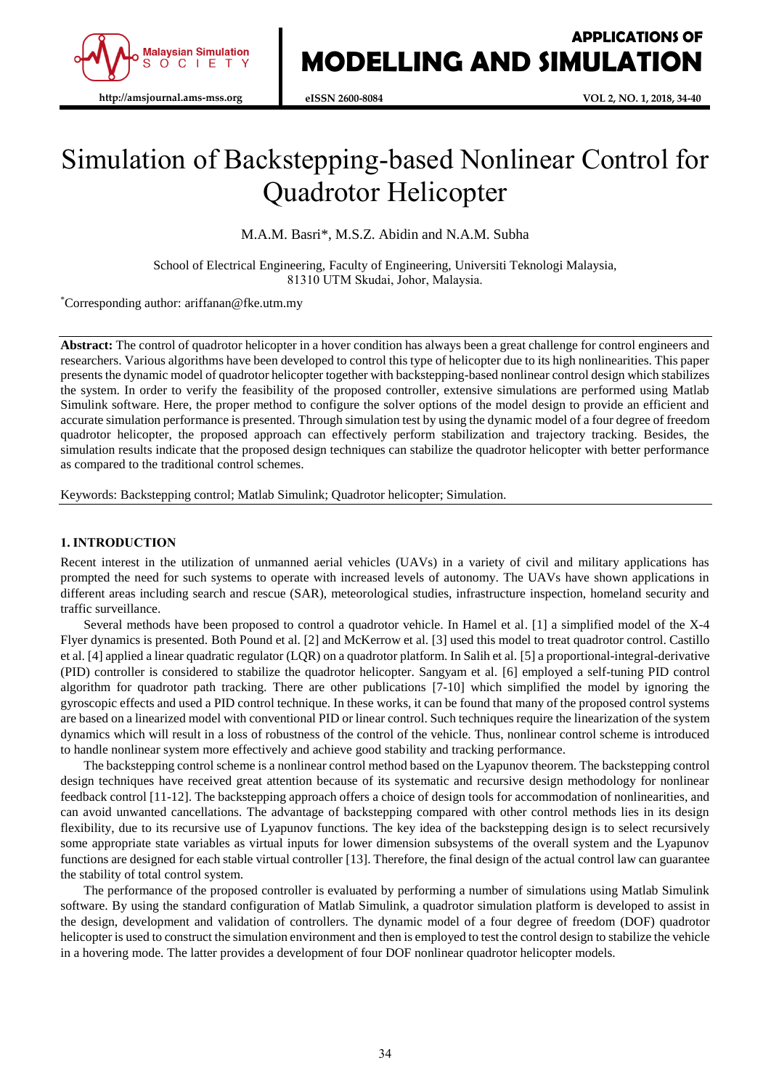

# Simulation of Backstepping-based Nonlinear Control for Quadrotor Helicopter

M.A.M. Basri\*, M.S.Z. Abidin and N.A.M. Subha

School of Electrical Engineering, Faculty of Engineering, Universiti Teknologi Malaysia, 81310 UTM Skudai, Johor, Malaysia.

\*Corresponding author: ariffanan@fke.utm.my

**Abstract:** The control of quadrotor helicopter in a hover condition has always been a great challenge for control engineers and researchers. Various algorithms have been developed to control this type of helicopter due to its high nonlinearities. This paper presents the dynamic model of quadrotor helicopter together with backstepping-based nonlinear control design which stabilizes the system. In order to verify the feasibility of the proposed controller, extensive simulations are performed using Matlab Simulink software. Here, the proper method to configure the solver options of the model design to provide an efficient and accurate simulation performance is presented. Through simulation test by using the dynamic model of a four degree of freedom quadrotor helicopter, the proposed approach can effectively perform stabilization and trajectory tracking. Besides, the simulation results indicate that the proposed design techniques can stabilize the quadrotor helicopter with better performance as compared to the traditional control schemes.

Keywords: Backstepping control; Matlab Simulink; Quadrotor helicopter; Simulation.

### **1. INTRODUCTION**

Recent interest in the utilization of unmanned aerial vehicles (UAVs) in a variety of civil and military applications has prompted the need for such systems to operate with increased levels of autonomy. The UAVs have shown applications in different areas including search and rescue (SAR), meteorological studies, infrastructure inspection, homeland security and traffic surveillance.

Several methods have been proposed to control a quadrotor vehicle. In Hamel et al. [1] a simplified model of the X-4 Flyer dynamics is presented. Both Pound et al. [2] and McKerrow et al. [3] used this model to treat quadrotor control. Castillo et al. [4] applied a linear quadratic regulator (LQR) on a quadrotor platform. In Salih et al. [5] a proportional-integral-derivative (PID) controller is considered to stabilize the quadrotor helicopter. Sangyam et al. [6] employed a self-tuning PID control algorithm for quadrotor path tracking. There are other publications [7-10] which simplified the model by ignoring the gyroscopic effects and used a PID control technique. In these works, it can be found that many of the proposed control systems are based on a linearized model with conventional PID or linear control. Such techniques require the linearization of the system dynamics which will result in a loss of robustness of the control of the vehicle. Thus, nonlinear control scheme is introduced to handle nonlinear system more effectively and achieve good stability and tracking performance.

The backstepping control scheme is a nonlinear control method based on the Lyapunov theorem. The backstepping control design techniques have received great attention because of its systematic and recursive design methodology for nonlinear feedback control [11-12]. The backstepping approach offers a choice of design tools for accommodation of nonlinearities, and can avoid unwanted cancellations. The advantage of backstepping compared with other control methods lies in its design flexibility, due to its recursive use of Lyapunov functions. The key idea of the backstepping design is to select recursively some appropriate state variables as virtual inputs for lower dimension subsystems of the overall system and the Lyapunov functions are designed for each stable virtual controller [13]. Therefore, the final design of the actual control law can guarantee the stability of total control system.

The performance of the proposed controller is evaluated by performing a number of simulations using Matlab Simulink software. By using the standard configuration of Matlab Simulink, a quadrotor simulation platform is developed to assist in the design, development and validation of controllers. The dynamic model of a four degree of freedom (DOF) quadrotor helicopter is used to construct the simulation environment and then is employed to test the control design to stabilize the vehicle in a hovering mode. The latter provides a development of four DOF nonlinear quadrotor helicopter models.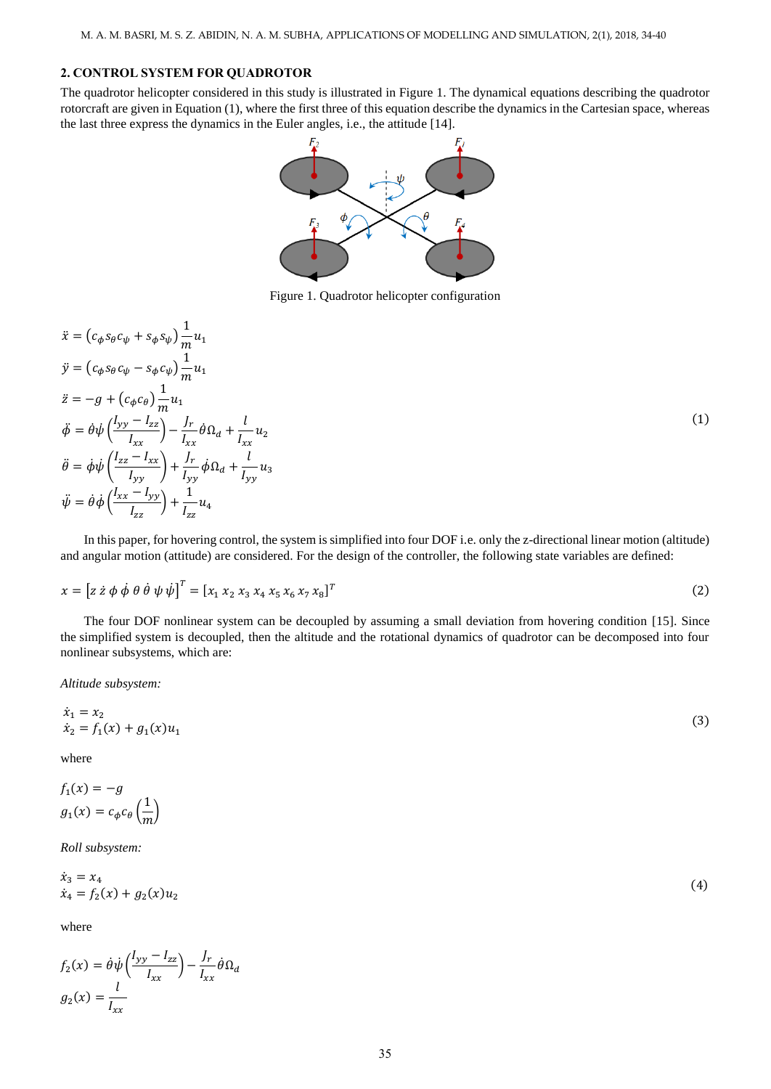# **2. CONTROL SYSTEM FOR QUADROTOR**

The quadrotor helicopter considered in this study is illustrated in Figure 1. The dynamical equations describing the quadrotor rotorcraft are given in Equation (1), where the first three of this equation describe the dynamics in the Cartesian space, whereas the last three express the dynamics in the Euler angles, i.e., the attitude [14].



Figure 1. Quadrotor helicopter configuration

$$
\begin{aligned}\n\ddot{x} &= (c_{\phi} s_{\theta} c_{\psi} + s_{\phi} s_{\psi}) \frac{1}{m} u_1 \\
\dot{y} &= (c_{\phi} s_{\theta} c_{\psi} - s_{\phi} c_{\psi}) \frac{1}{m} u_1 \\
\ddot{z} &= -g + (c_{\phi} c_{\theta}) \frac{1}{m} u_1 \\
\ddot{\phi} &= \dot{\theta} \psi \left( \frac{ly_y - I_{zz}}{I_{xx}} \right) - \frac{J_r}{I_{xx}} \dot{\theta} \Omega_d + \frac{l}{I_{xx}} u_2 \\
\ddot{\theta} &= \dot{\phi} \psi \left( \frac{I_{zz} - I_{xx}}{I_{yy}} \right) + \frac{J_r}{I_{yy}} \dot{\phi} \Omega_d + \frac{l}{I_{yy}} u_3 \\
\ddot{\psi} &= \dot{\theta} \dot{\phi} \left( \frac{I_{xx} - I_{yy}}{I_{zz}} \right) + \frac{1}{I_{zz}} u_4\n\end{aligned}
$$
\n(1)

In this paper, for hovering control, the system is simplified into four DOF i.e. only the z-directional linear motion (altitude) and angular motion (attitude) are considered. For the design of the controller, the following state variables are defined:

$$
x = [z \dot{z} \phi \dot{\phi} \theta \dot{\theta} \psi \dot{\psi}]^{T} = [x_{1} x_{2} x_{3} x_{4} x_{5} x_{6} x_{7} x_{8}]^{T}
$$
\n(2)

The four DOF nonlinear system can be decoupled by assuming a small deviation from hovering condition [15]. Since the simplified system is decoupled, then the altitude and the rotational dynamics of quadrotor can be decomposed into four nonlinear subsystems, which are:

*Altitude subsystem:*

$$
\begin{aligned}\n\dot{x}_1 &= x_2\\ \n\dot{x}_2 &= f_1(x) + g_1(x)u_1\n\end{aligned} \tag{3}
$$

where

$$
f_1(x) = -g
$$
  

$$
g_1(x) = c_{\phi} c_{\theta} \left(\frac{1}{m}\right)
$$

*Roll subsystem:*

$$
\dot{x}_3 = x_4 \n\dot{x}_4 = f_2(x) + g_2(x)u_2
$$
\n(4)

where

$$
f_2(x) = \dot{\theta}\dot{\psi}\left(\frac{I_{yy} - I_{zz}}{I_{xx}}\right) - \frac{J_r}{I_{xx}}\dot{\theta}\Omega_d
$$

$$
g_2(x) = \frac{l}{I_{xx}}
$$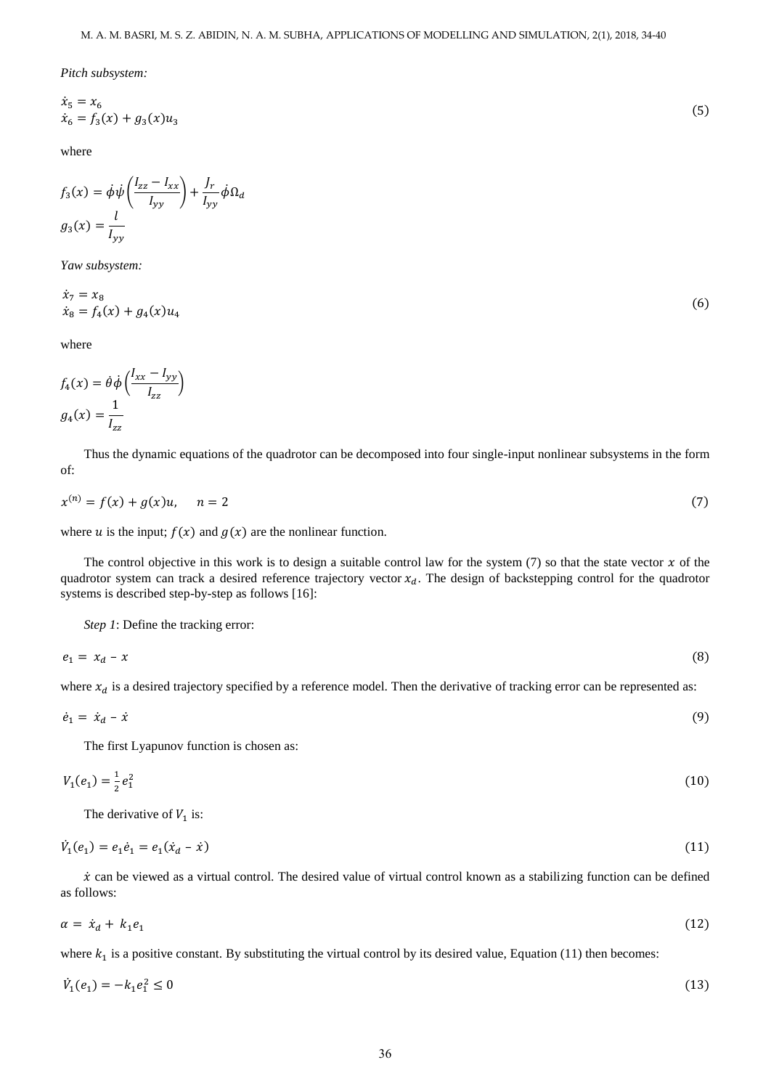*Pitch subsystem:*

$$
\dot{x}_5 = x_6
$$
  
\n
$$
\dot{x}_6 = f_3(x) + g_3(x)u_3
$$
\n(5)

where

$$
f_3(x) = \dot{\phi}\dot{\psi}\left(\frac{I_{zz} - I_{xx}}{I_{yy}}\right) + \frac{J_r}{I_{yy}}\dot{\phi}\Omega_d
$$

$$
g_3(x) = \frac{l}{I_{yy}}
$$

*Yaw subsystem:*

$$
\begin{aligned} \dot{x}_7 &= x_8\\ \dot{x}_8 &= f_4(x) + g_4(x)u_4 \end{aligned} \tag{6}
$$

where

$$
f_4(x) = \dot{\theta}\dot{\phi}\left(\frac{I_{xx} - I_{yy}}{I_{zz}}\right)
$$

$$
g_4(x) = \frac{1}{I_{zz}}
$$

Thus the dynamic equations of the quadrotor can be decomposed into four single-input nonlinear subsystems in the form of:

$$
x^{(n)} = f(x) + g(x)u, \quad n = 2
$$
\n(7)

where u is the input;  $f(x)$  and  $g(x)$  are the nonlinear function.

The control objective in this work is to design a suitable control law for the system (7) so that the state vector  $x$  of the quadrotor system can track a desired reference trajectory vector  $x_d$ . The design of backstepping control for the quadrotor systems is described step-by-step as follows [16]:

*Step 1*: Define the tracking error:

$$
e_1 = x_d - x \tag{8}
$$

where  $x_d$  is a desired trajectory specified by a reference model. Then the derivative of tracking error can be represented as:

$$
\dot{e}_1 = \dot{x}_d - \dot{x} \tag{9}
$$

The first Lyapunov function is chosen as:

$$
V_1(e_1) = \frac{1}{2}e_1^2\tag{10}
$$

The derivative of  $V_1$  is:

$$
\dot{V}_1(e_1) = e_1 \dot{e}_1 = e_1 (\dot{x}_d - \dot{x}) \tag{11}
$$

 $\dot{x}$  can be viewed as a virtual control. The desired value of virtual control known as a stabilizing function can be defined as follows:

$$
\alpha = \dot{x}_d + k_1 e_1 \tag{12}
$$

where  $k_1$  is a positive constant. By substituting the virtual control by its desired value, Equation (11) then becomes:

$$
\dot{V}_1(e_1) = -k_1 e_1^2 \le 0 \tag{13}
$$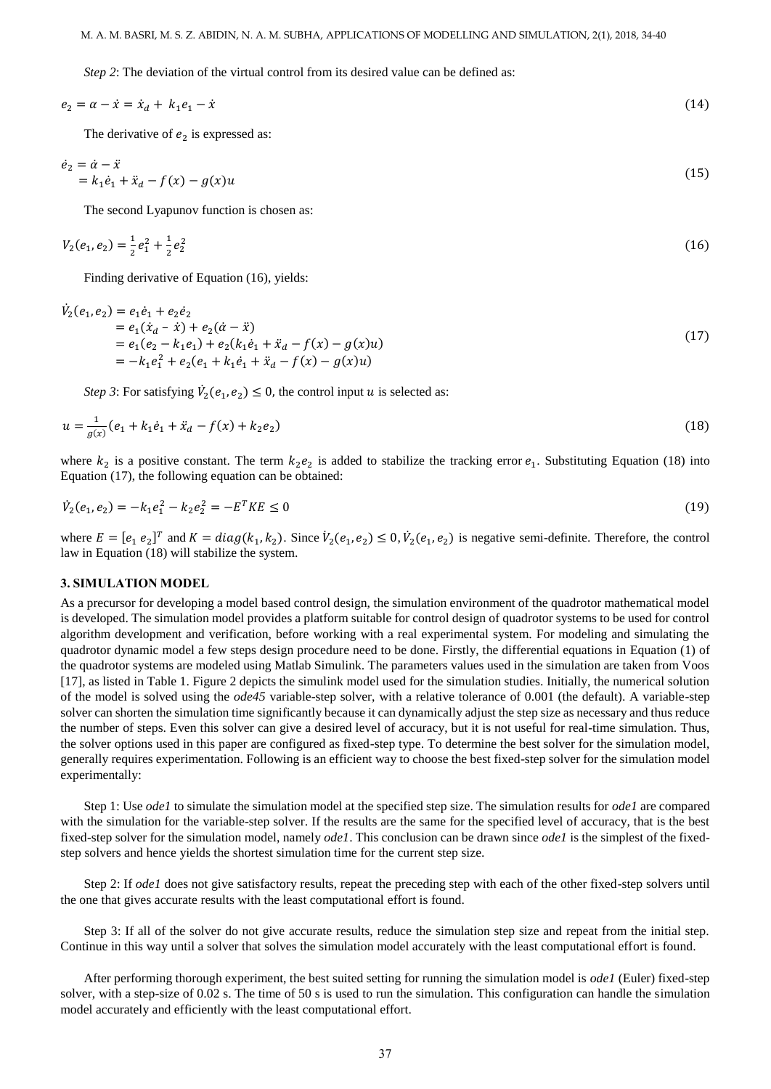*Step 2*: The deviation of the virtual control from its desired value can be defined as:

$$
e_2 = \alpha - \dot{x} = \dot{x}_d + k_1 e_1 - \dot{x} \tag{14}
$$

The derivative of  $e_2$  is expressed as:

$$
\dot{e}_2 = \dot{\alpha} - \ddot{x} \n= k_1 \dot{e}_1 + \ddot{x}_d - f(x) - g(x)u
$$
\n(15)

The second Lyapunov function is chosen as:

$$
V_2(e_1, e_2) = \frac{1}{2}e_1^2 + \frac{1}{2}e_2^2 \tag{16}
$$

Finding derivative of Equation (16), yields:

$$
\dot{V}_2(e_1, e_2) = e_1 \dot{e}_1 + e_2 \dot{e}_2 \n= e_1 (\dot{x}_d - \dot{x}) + e_2 (\dot{\alpha} - \ddot{x}) \n= e_1 (e_2 - k_1 e_1) + e_2 (k_1 \dot{e}_1 + \ddot{x}_d - f(x) - g(x)u) \n= -k_1 e_1^2 + e_2 (e_1 + k_1 \dot{e}_1 + \ddot{x}_d - f(x) - g(x)u)
$$
\n(17)

*Step 3*: For satisfying  $\dot{V}_2(e_1, e_2) \leq 0$ , the control input *u* is selected as:

$$
u = \frac{1}{g(x)}(e_1 + k_1 \dot{e}_1 + \ddot{x}_d - f(x) + k_2 e_2)
$$
\n(18)

where  $k_2$  is a positive constant. The term  $k_2e_2$  is added to stabilize the tracking error  $e_1$ . Substituting Equation (18) into Equation (17), the following equation can be obtained:

$$
\dot{V}_2(e_1, e_2) = -k_1 e_1^2 - k_2 e_2^2 = -E^T K E \le 0 \tag{19}
$$

where  $E = [e_1 e_2]^T$  and  $K = diag(k_1, k_2)$ . Since  $V_2(e_1, e_2) \le 0$ ,  $V_2(e_1, e_2)$  is negative semi-definite. Therefore, the control law in Equation (18) will stabilize the system.

#### **3. SIMULATION MODEL**

As a precursor for developing a model based control design, the simulation environment of the quadrotor mathematical model is developed. The simulation model provides a platform suitable for control design of quadrotor systems to be used for control algorithm development and verification, before working with a real experimental system. For modeling and simulating the quadrotor dynamic model a few steps design procedure need to be done. Firstly, the differential equations in Equation (1) of the quadrotor systems are modeled using Matlab Simulink. The parameters values used in the simulation are taken from Voos [17], as listed in Table 1. Figure 2 depicts the simulink model used for the simulation studies. Initially, the numerical solution of the model is solved using the *ode45* variable-step solver, with a relative tolerance of 0.001 (the default). A variable-step solver can shorten the simulation time significantly because it can dynamically adjust the step size as necessary and thus reduce the number of steps. Even this solver can give a desired level of accuracy, but it is not useful for real-time simulation. Thus, the solver options used in this paper are configured as fixed-step type. To determine the best solver for the simulation model, generally requires experimentation. Following is an efficient way to choose the best fixed-step solver for the simulation model experimentally:

Step 1: Use *ode1* to simulate the simulation model at the specified step size. The simulation results for *ode1* are compared with the simulation for the variable-step solver. If the results are the same for the specified level of accuracy, that is the best fixed-step solver for the simulation model, namely *ode1*. This conclusion can be drawn since *ode1* is the simplest of the fixedstep solvers and hence yields the shortest simulation time for the current step size.

Step 2: If *ode1* does not give satisfactory results, repeat the preceding step with each of the other fixed-step solvers until the one that gives accurate results with the least computational effort is found.

Step 3: If all of the solver do not give accurate results, reduce the simulation step size and repeat from the initial step. Continue in this way until a solver that solves the simulation model accurately with the least computational effort is found.

After performing thorough experiment, the best suited setting for running the simulation model is *ode1* (Euler) fixed-step solver, with a step-size of 0.02 s. The time of 50 s is used to run the simulation. This configuration can handle the simulation model accurately and efficiently with the least computational effort.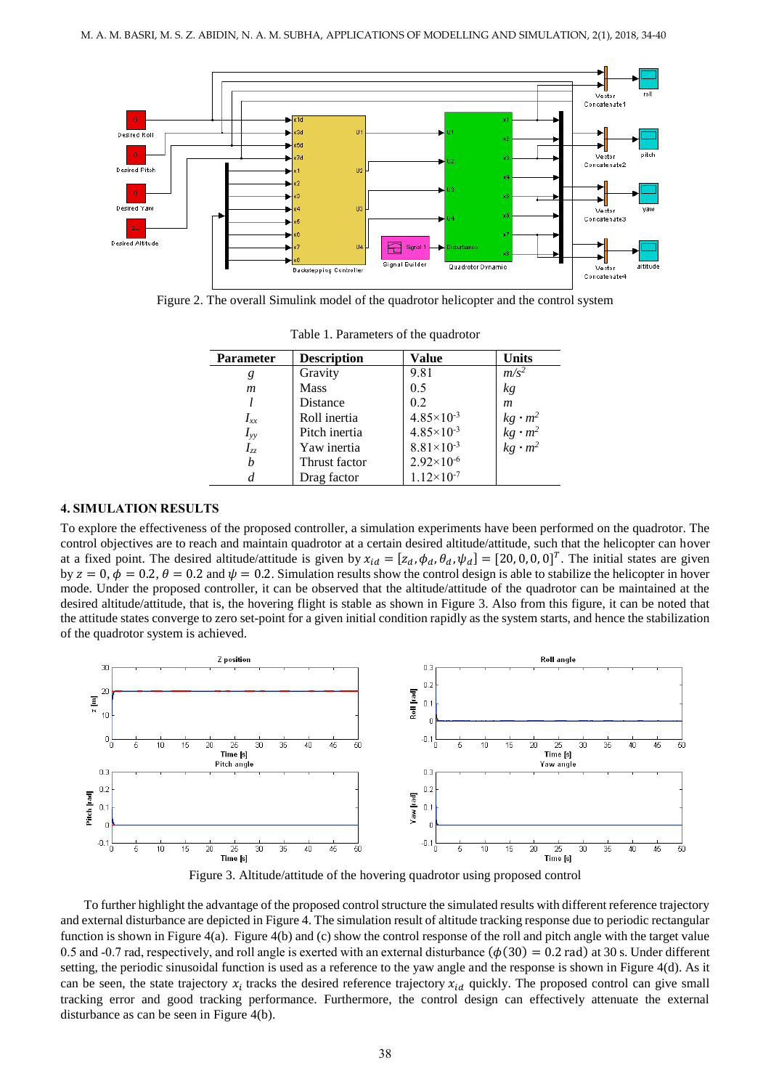

Figure 2. The overall Simulink model of the quadrotor helicopter and the control system

| <b>Parameter</b> | <b>Description</b> | Value                 | <b>Units</b>                                             |
|------------------|--------------------|-----------------------|----------------------------------------------------------|
| g                | Gravity            | 9.81                  | $m/s^2$                                                  |
| $\mathfrak{m}$   | <b>Mass</b>        | 0.5                   | kg                                                       |
|                  | Distance           | 0.2                   | $\boldsymbol{m}$                                         |
| $I_{xx}$         | Roll inertia       | $4.85 \times 10^{-3}$ |                                                          |
| $I_{yy}$         | Pitch inertia      | $4.85 \times 10^{-3}$ | $\begin{array}{c} kg\cdot m^2\\ kg\cdot m^2 \end{array}$ |
| $I_{zz}$         | Yaw inertia        | $8.81 \times 10^{-3}$ | $kg \cdot m^2$                                           |
| b                | Thrust factor      | $2.92\times10^{-6}$   |                                                          |
| d                | Drag factor        | $1.12 \times 10^{-7}$ |                                                          |

Table 1. Parameters of the quadrotor

# **4. SIMULATION RESULTS**

To explore the effectiveness of the proposed controller, a simulation experiments have been performed on the quadrotor. The control objectives are to reach and maintain quadrotor at a certain desired altitude/attitude, such that the helicopter can hover at a fixed point. The desired altitude/attitude is given by  $x_{id} = [z_d, \phi_d, \theta_d, \psi_d] = [20, 0, 0, 0]^T$ . The initial states are given by  $z = 0$ ,  $\phi = 0.2$ ,  $\theta = 0.2$  and  $\psi = 0.2$ . Simulation results show the control design is able to stabilize the helicopter in hover mode. Under the proposed controller, it can be observed that the altitude/attitude of the quadrotor can be maintained at the desired altitude/attitude, that is, the hovering flight is stable as shown in Figure 3. Also from this figure, it can be noted that the attitude states converge to zero set-point for a given initial condition rapidly as the system starts, and hence the stabilization of the quadrotor system is achieved.



Figure 3. Altitude/attitude of the hovering quadrotor using proposed control

To further highlight the advantage of the proposed control structure the simulated results with different reference trajectory and external disturbance are depicted in Figure 4. The simulation result of altitude tracking response due to periodic rectangular function is shown in Figure 4(a). Figure 4(b) and (c) show the control response of the roll and pitch angle with the target value 0.5 and -0.7 rad, respectively, and roll angle is exerted with an external disturbance  $(\phi(30) = 0.2 \text{ rad})$  at 30 s. Under different setting, the periodic sinusoidal function is used as a reference to the yaw angle and the response is shown in Figure 4(d). As it can be seen, the state trajectory  $x_i$  tracks the desired reference trajectory  $x_{id}$  quickly. The proposed control can give small tracking error and good tracking performance. Furthermore, the control design can effectively attenuate the external disturbance as can be seen in Figure 4(b).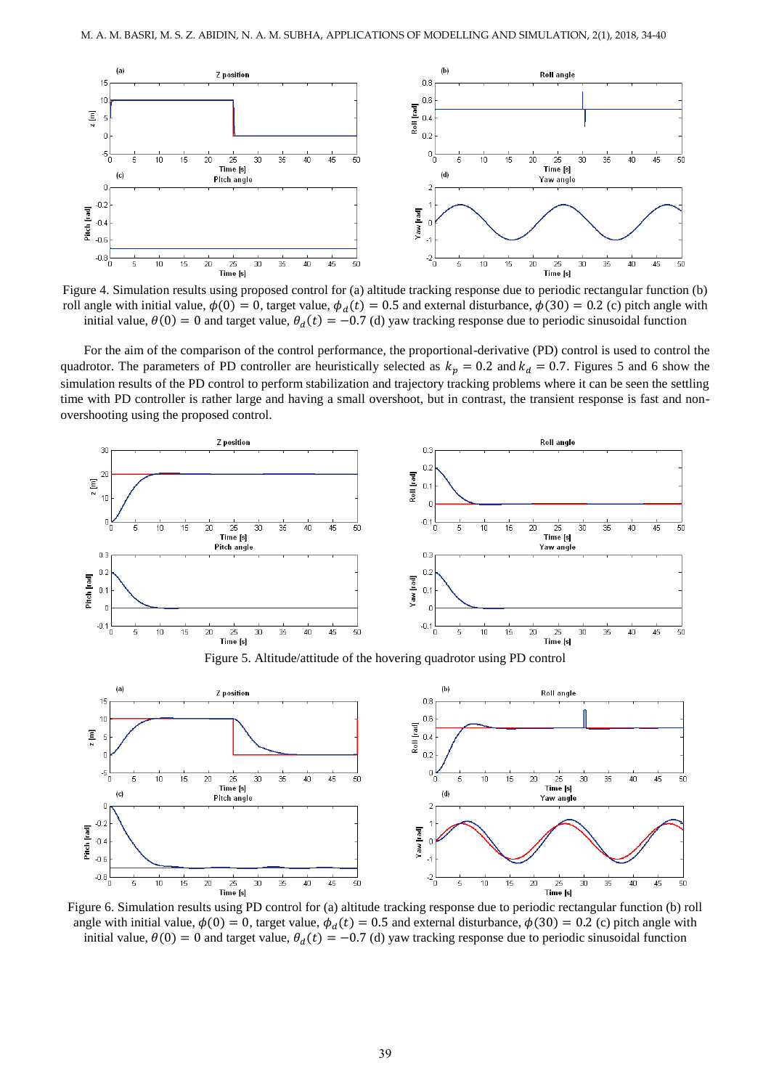

Figure 4. Simulation results using proposed control for (a) altitude tracking response due to periodic rectangular function (b) roll angle with initial value,  $\phi(0) = 0$ , target value,  $\phi_a(t) = 0.5$  and external disturbance,  $\phi(30) = 0.2$  (c) pitch angle with initial value,  $\theta(0) = 0$  and target value,  $\theta_d(t) = -0.7$  (d) yaw tracking response due to periodic sinusoidal function

For the aim of the comparison of the control performance, the proportional-derivative (PD) control is used to control the quadrotor. The parameters of PD controller are heuristically selected as  $k_p = 0.2$  and  $k_d = 0.7$ . Figures 5 and 6 show the simulation results of the PD control to perform stabilization and trajectory tracking problems where it can be seen the settling time with PD controller is rather large and having a small overshoot, but in contrast, the transient response is fast and nonovershooting using the proposed control.



Figure 5. Altitude/attitude of the hovering quadrotor using PD control



Figure 6. Simulation results using PD control for (a) altitude tracking response due to periodic rectangular function (b) roll angle with initial value,  $\phi(0) = 0$ , target value,  $\phi_d(t) = 0.5$  and external disturbance,  $\phi(30) = 0.2$  (c) pitch angle with initial value,  $\theta(0) = 0$  and target value,  $\theta_d(t) = -0.7$  (d) yaw tracking response due to periodic sinusoidal function